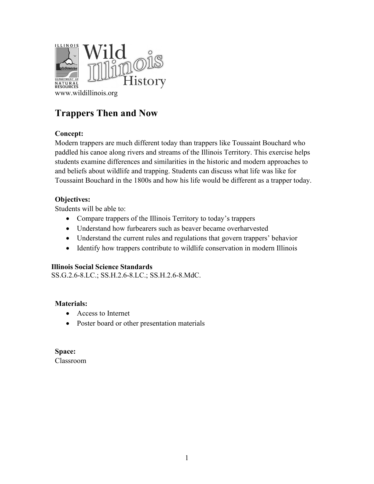

# **Trappers Then and Now**

# **Concept:**

Modern trappers are much different today than trappers like Toussaint Bouchard who paddled his canoe along rivers and streams of the Illinois Territory. This exercise helps students examine differences and similarities in the historic and modern approaches to and beliefs about wildlife and trapping. Students can discuss what life was like for Toussaint Bouchard in the 1800s and how his life would be different as a trapper today.

# **Objectives:**

Students will be able to:

- Compare trappers of the Illinois Territory to today's trappers
- Understand how furbearers such as beaver became overharvested
- Understand the current rules and regulations that govern trappers' behavior
- Identify how trappers contribute to wildlife conservation in modern Illinois

## **Illinois Social Science Standards**

SS.G.2.6-8.LC.; SS.H.2.6-8.LC.; SS.H.2.6-8.MdC.

## **Materials:**

- Access to Internet
- Poster board or other presentation materials

**Space:** Classroom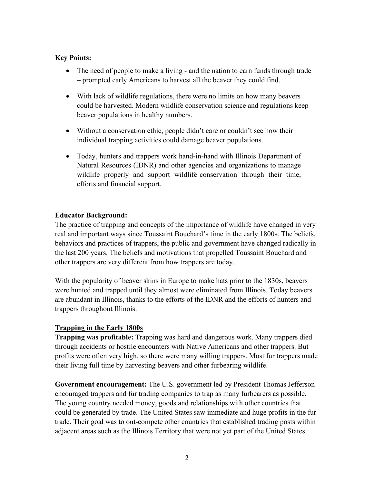## **Key Points:**

- The need of people to make a living and the nation to earn funds through trade – prompted early Americans to harvest all the beaver they could find.
- With lack of wildlife regulations, there were no limits on how many beavers could be harvested. Modern wildlife conservation science and regulations keep beaver populations in healthy numbers.
- Without a conservation ethic, people didn't care or couldn't see how their individual trapping activities could damage beaver populations.
- Today, hunters and trappers work hand-in-hand with Illinois Department of Natural Resources (IDNR) and other agencies and organizations to manage wildlife properly and support wildlife conservation through their time, efforts and financial support.

## **Educator Background:**

The practice of trapping and concepts of the importance of wildlife have changed in very real and important ways since Toussaint Bouchard's time in the early 1800s. The beliefs, behaviors and practices of trappers, the public and government have changed radically in the last 200 years. The beliefs and motivations that propelled Toussaint Bouchard and other trappers are very different from how trappers are today.

With the popularity of beaver skins in Europe to make hats prior to the 1830s, beavers were hunted and trapped until they almost were eliminated from Illinois. Today beavers are abundant in Illinois, thanks to the efforts of the IDNR and the efforts of hunters and trappers throughout Illinois.

## **Trapping in the Early 1800s**

**Trapping was profitable:** Trapping was hard and dangerous work. Many trappers died through accidents or hostile encounters with Native Americans and other trappers. But profits were often very high, so there were many willing trappers. Most fur trappers made their living full time by harvesting beavers and other furbearing wildlife.

**Government encouragement:** The U.S. government led by President Thomas Jefferson encouraged trappers and fur trading companies to trap as many furbearers as possible. The young country needed money, goods and relationships with other countries that could be generated by trade. The United States saw immediate and huge profits in the fur trade. Their goal was to out-compete other countries that established trading posts within adjacent areas such as the Illinois Territory that were not yet part of the United States.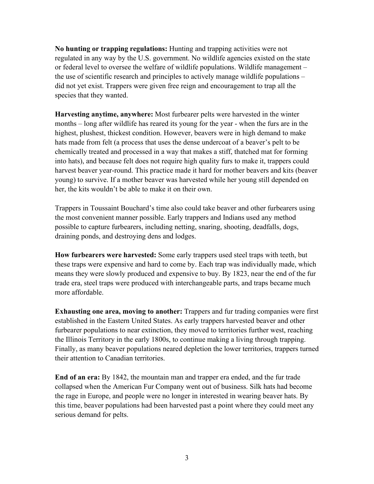**No hunting or trapping regulations:** Hunting and trapping activities were not regulated in any way by the U.S. government. No wildlife agencies existed on the state or federal level to oversee the welfare of wildlife populations. Wildlife management – the use of scientific research and principles to actively manage wildlife populations – did not yet exist. Trappers were given free reign and encouragement to trap all the species that they wanted.

**Harvesting anytime, anywhere:** Most furbearer pelts were harvested in the winter months – long after wildlife has reared its young for the year - when the furs are in the highest, plushest, thickest condition. However, beavers were in high demand to make hats made from felt (a process that uses the dense undercoat of a beaver's pelt to be chemically treated and processed in a way that makes a stiff, thatched mat for forming into hats), and because felt does not require high quality furs to make it, trappers could harvest beaver year-round. This practice made it hard for mother beavers and kits (beaver young) to survive. If a mother beaver was harvested while her young still depended on her, the kits wouldn't be able to make it on their own.

Trappers in Toussaint Bouchard's time also could take beaver and other furbearers using the most convenient manner possible. Early trappers and Indians used any method possible to capture furbearers, including netting, snaring, shooting, deadfalls, dogs, draining ponds, and destroying dens and lodges.

**How furbearers were harvested:** Some early trappers used steel traps with teeth, but these traps were expensive and hard to come by. Each trap was individually made, which means they were slowly produced and expensive to buy. By 1823, near the end of the fur trade era, steel traps were produced with interchangeable parts, and traps became much more affordable.

**Exhausting one area, moving to another:** Trappers and fur trading companies were first established in the Eastern United States. As early trappers harvested beaver and other furbearer populations to near extinction, they moved to territories further west, reaching the Illinois Territory in the early 1800s, to continue making a living through trapping. Finally, as many beaver populations neared depletion the lower territories, trappers turned their attention to Canadian territories.

**End of an era:** By 1842, the mountain man and trapper era ended, and the fur trade collapsed when the American Fur Company went out of business. Silk hats had become the rage in Europe, and people were no longer in interested in wearing beaver hats. By this time, beaver populations had been harvested past a point where they could meet any serious demand for pelts.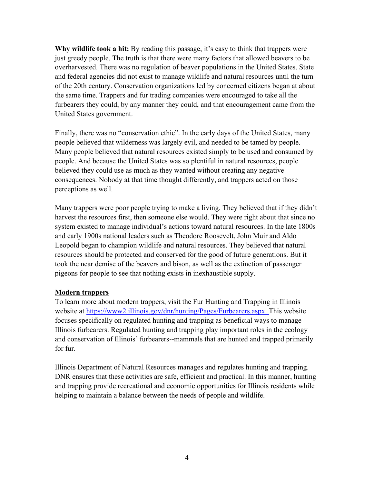**Why wildlife took a hit:** By reading this passage, it's easy to think that trappers were just greedy people. The truth is that there were many factors that allowed beavers to be overharvested. There was no regulation of beaver populations in the United States. State and federal agencies did not exist to manage wildlife and natural resources until the turn of the 20th century. Conservation organizations led by concerned citizens began at about the same time. Trappers and fur trading companies were encouraged to take all the furbearers they could, by any manner they could, and that encouragement came from the United States government.

Finally, there was no "conservation ethic". In the early days of the United States, many people believed that wilderness was largely evil, and needed to be tamed by people. Many people believed that natural resources existed simply to be used and consumed by people. And because the United States was so plentiful in natural resources, people believed they could use as much as they wanted without creating any negative consequences. Nobody at that time thought differently, and trappers acted on those perceptions as well.

Many trappers were poor people trying to make a living. They believed that if they didn't harvest the resources first, then someone else would. They were right about that since no system existed to manage individual's actions toward natural resources. In the late 1800s and early 1900s national leaders such as Theodore Roosevelt, John Muir and Aldo Leopold began to champion wildlife and natural resources. They believed that natural resources should be protected and conserved for the good of future generations. But it took the near demise of the beavers and bison, as well as the extinction of passenger pigeons for people to see that nothing exists in inexhaustible supply.

#### **Modern trappers**

To learn more about modern trappers, visit the Fur Hunting and Trapping in Illinois website at [https://www2.illinois.gov/dnr/hunting/Pages/Furbearers.aspx.](https://www2.illinois.gov/dnr/hunting/Pages/Furbearers.aspx) This website focuses specifically on regulated hunting and trapping as beneficial ways to manage Illinois furbearers. Regulated hunting and trapping play important roles in the ecology and conservation of Illinois' furbearers--mammals that are hunted and trapped primarily for fur.

Illinois Department of Natural Resources manages and regulates hunting and trapping. DNR ensures that these activities are safe, efficient and practical. In this manner, hunting and trapping provide recreational and economic opportunities for Illinois residents while helping to maintain a balance between the needs of people and wildlife.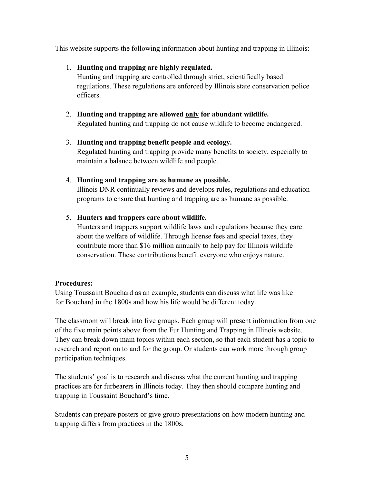This website supports the following information about hunting and trapping in Illinois:

# 1. **Hunting and trapping are highly regulated.**

Hunting and trapping are controlled through strict, scientifically based regulations. These regulations are enforced by Illinois state conservation police officers.

- 2. **Hunting and trapping are allowed only for abundant wildlife.** Regulated hunting and trapping do not cause wildlife to become endangered.
- 3. **Hunting and trapping benefit people and ecology.** Regulated hunting and trapping provide many benefits to society, especially to maintain a balance between wildlife and people.

# 4. **Hunting and trapping are as humane as possible.**

Illinois DNR continually reviews and develops rules, regulations and education programs to ensure that hunting and trapping are as humane as possible.

# 5. **Hunters and trappers care about wildlife.**

Hunters and trappers support wildlife laws and regulations because they care about the welfare of wildlife. Through license fees and special taxes, they contribute more than \$16 million annually to help pay for Illinois wildlife conservation. These contributions benefit everyone who enjoys nature.

## **Procedures:**

Using Toussaint Bouchard as an example, students can discuss what life was like for Bouchard in the 1800s and how his life would be different today.

The classroom will break into five groups. Each group will present information from one of the five main points above from the Fur Hunting and Trapping in Illinois website. They can break down main topics within each section, so that each student has a topic to research and report on to and for the group. Or students can work more through group participation techniques.

The students' goal is to research and discuss what the current hunting and trapping practices are for furbearers in Illinois today. They then should compare hunting and trapping in Toussaint Bouchard's time.

Students can prepare posters or give group presentations on how modern hunting and trapping differs from practices in the 1800s.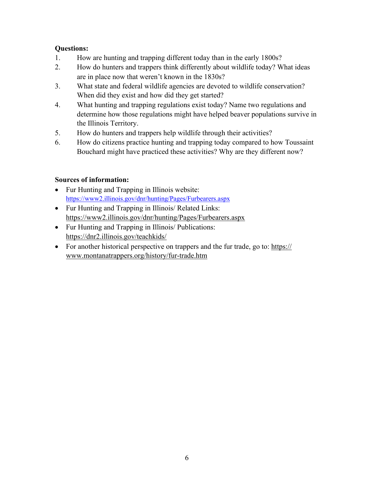# **Questions:**

- 1. How are hunting and trapping different today than in the early 1800s?
- 2. How do hunters and trappers think differently about wildlife today? What ideas are in place now that weren't known in the 1830s?
- 3. What state and federal wildlife agencies are devoted to wildlife conservation? When did they exist and how did they get started?
- 4. What hunting and trapping regulations exist today? Name two regulations and determine how those regulations might have helped beaver populations survive in the Illinois Territory.
- 5. How do hunters and trappers help wildlife through their activities?
- 6. How do citizens practice hunting and trapping today compared to how Toussaint Bouchard might have practiced these activities? Why are they different now?

# **Sources of information:**

- Fur Hunting and Trapping in Illinois website: <https://www2.illinois.gov/dnr/hunting/Pages/Furbearers.aspx>
- Fur Hunting and Trapping in Illinois/ Related Links: <https://www2.illinois.gov/dnr/hunting/Pages/Furbearers.aspx>
- Fur Hunting and Trapping in Illinois/ Publications: <https://dnr2.illinois.gov/teachkids/>
- For another historical perspective on trappers and the fur trade, go to: https:// [www.montanatrappers.org/history/fur-trade.htm](https://www.montanatrappers.org/history/fur-trade.htm)